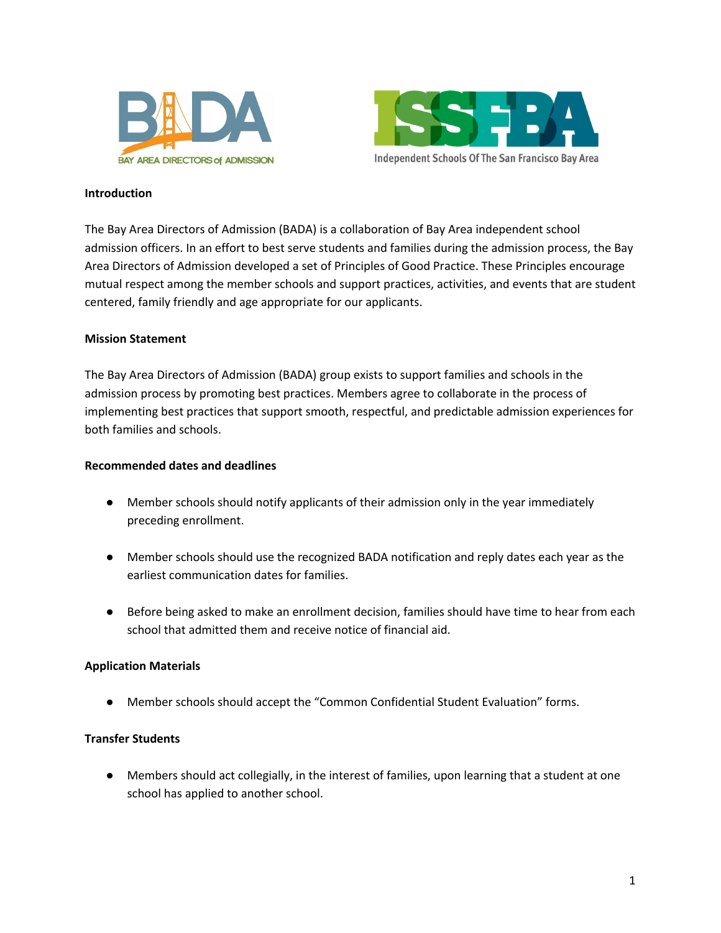



#### **Introduction**

The Bay Area Directors of Admission (BADA) is a collaboration of Bay Area independent school admission officers. In an effort to best serve students and families during the admission process, the Bay Area Directors of Admission developed a set of Principles of Good Practice. These Principles encourage mutual respect among the member schools and support practices, activities, and events that are student centered, family friendly and age appropriate for our applicants.

### **Mission Statement**

The Bay Area Directors of Admission (BADA) group exists to support families and schools in the admission process by promoting best practices. Members agree to collaborate in the process of implementing best practices that support smooth, respectful, and predictable admission experiences for both families and schools.

### **Recommended dates and deadlines**

- Member schools should notify applicants of their admission only in the year immediately preceding enrollment.
- Member schools should use the recognized BADA notification and reply dates each year as the earliest communication dates for families.
- Before being asked to make an enrollment decision, families should have time to hear from each school that admitted them and receive notice of financial aid.

## **Application Materials**

● Member schools should accept the "Common Confidential Student Evaluation" forms.

## **Transfer Students**

● Members should act collegially, in the interest of families, upon learning that a student at one school has applied to another school.